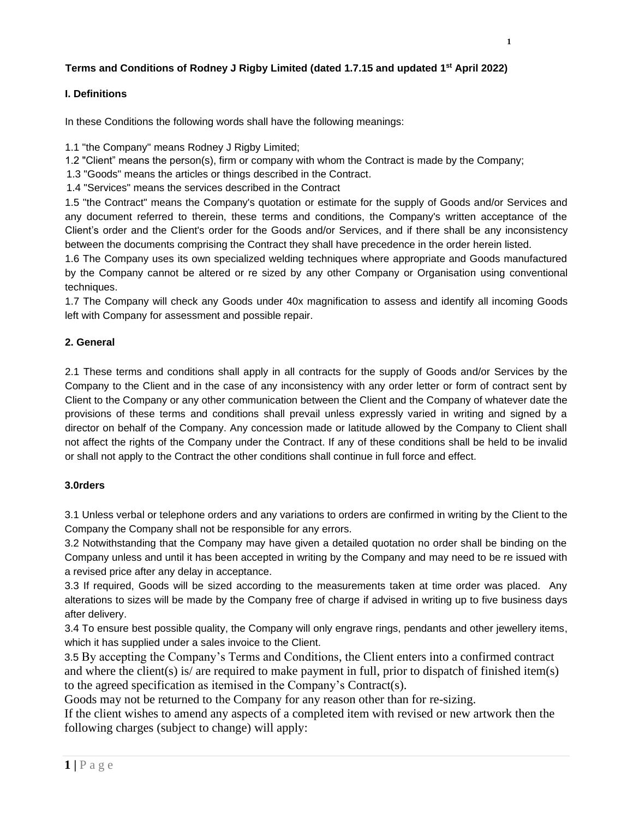# **Terms and Conditions of Rodney J Rigby Limited (dated 1.7.15 and updated 1 st April 2022)**

## **I. Definitions**

In these Conditions the following words shall have the following meanings:

1.1 "the Company" means Rodney J Rigby Limited;

1.2 "Client" means the person(s), firm or company with whom the Contract is made by the Company;

1.3 "Goods" means the articles or things described in the Contract.

1.4 "Services" means the services described in the Contract

1.5 "the Contract" means the Company's quotation or estimate for the supply of Goods and/or Services and any document referred to therein, these terms and conditions, the Company's written acceptance of the Client's order and the Client's order for the Goods and/or Services, and if there shall be any inconsistency between the documents comprising the Contract they shall have precedence in the order herein listed.

1.6 The Company uses its own specialized welding techniques where appropriate and Goods manufactured by the Company cannot be altered or re sized by any other Company or Organisation using conventional techniques.

1.7 The Company will check any Goods under 40x magnification to assess and identify all incoming Goods left with Company for assessment and possible repair.

## **2. General**

2.1 These terms and conditions shall apply in all contracts for the supply of Goods and/or Services by the Company to the Client and in the case of any inconsistency with any order letter or form of contract sent by Client to the Company or any other communication between the Client and the Company of whatever date the provisions of these terms and conditions shall prevail unless expressly varied in writing and signed by a director on behalf of the Company. Any concession made or latitude allowed by the Company to Client shall not affect the rights of the Company under the Contract. If any of these conditions shall be held to be invalid or shall not apply to the Contract the other conditions shall continue in full force and effect.

## **3.0rders**

3.1 Unless verbal or telephone orders and any variations to orders are confirmed in writing by the Client to the Company the Company shall not be responsible for any errors.

3.2 Notwithstanding that the Company may have given a detailed quotation no order shall be binding on the Company unless and until it has been accepted in writing by the Company and may need to be re issued with a revised price after any delay in acceptance.

3.3 If required, Goods will be sized according to the measurements taken at time order was placed. Any alterations to sizes will be made by the Company free of charge if advised in writing up to five business days after delivery.

3.4 To ensure best possible quality, the Company will only engrave rings, pendants and other jewellery items, which it has supplied under a sales invoice to the Client.

3.5 By accepting the Company's Terms and Conditions, the Client enters into a confirmed contract and where the client(s) is/ are required to make payment in full, prior to dispatch of finished item(s) to the agreed specification as itemised in the Company's Contract(s).

Goods may not be returned to the Company for any reason other than for re-sizing.

If the client wishes to amend any aspects of a completed item with revised or new artwork then the following charges (subject to change) will apply: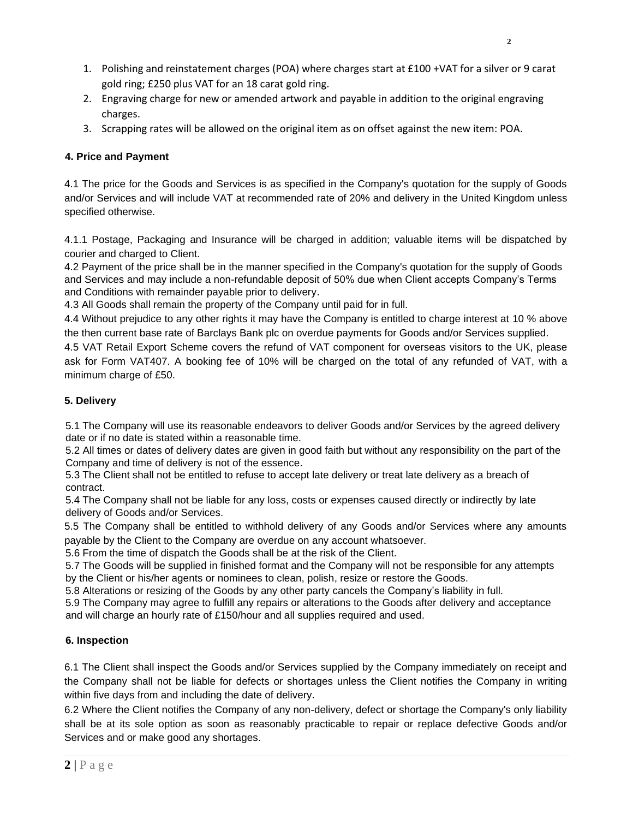- 1. Polishing and reinstatement charges (POA) where charges start at £100 +VAT for a silver or 9 carat gold ring; £250 plus VAT for an 18 carat gold ring.
- 2. Engraving charge for new or amended artwork and payable in addition to the original engraving charges.
- 3. Scrapping rates will be allowed on the original item as on offset against the new item: POA.

## **4. Price and Payment**

4.1 The price for the Goods and Services is as specified in the Company's quotation for the supply of Goods and/or Services and will include VAT at recommended rate of 20% and delivery in the United Kingdom unless specified otherwise.

4.1.1 Postage, Packaging and Insurance will be charged in addition; valuable items will be dispatched by courier and charged to Client.

4.2 Payment of the price shall be in the manner specified in the Company's quotation for the supply of Goods and Services and may include a non-refundable deposit of 50% due when Client accepts Company's Terms and Conditions with remainder payable prior to delivery.

4.3 All Goods shall remain the property of the Company until paid for in full.

4.4 Without prejudice to any other rights it may have the Company is entitled to charge interest at 10 % above the then current base rate of Barclays Bank plc on overdue payments for Goods and/or Services supplied.

4.5 VAT Retail Export Scheme covers the refund of VAT component for overseas visitors to the UK, please ask for Form VAT407. A booking fee of 10% will be charged on the total of any refunded of VAT, with a minimum charge of £50.

## **5. Delivery**

5.1 The Company will use its reasonable endeavors to deliver Goods and/or Services by the agreed delivery date or if no date is stated within a reasonable time.

5.2 All times or dates of delivery dates are given in good faith but without any responsibility on the part of the Company and time of delivery is not of the essence.

5.3 The Client shall not be entitled to refuse to accept late delivery or treat late delivery as a breach of contract.

5.4 The Company shall not be liable for any loss, costs or expenses caused directly or indirectly by late delivery of Goods and/or Services.

5.5 The Company shall be entitled to withhold delivery of any Goods and/or Services where any amounts payable by the Client to the Company are overdue on any account whatsoever.

5.6 From the time of dispatch the Goods shall be at the risk of the Client.

5.7 The Goods will be supplied in finished format and the Company will not be responsible for any attempts by the Client or his/her agents or nominees to clean, polish, resize or restore the Goods.

5.8 Alterations or resizing of the Goods by any other party cancels the Company's liability in full.

5.9 The Company may agree to fulfill any repairs or alterations to the Goods after delivery and acceptance and will charge an hourly rate of £150/hour and all supplies required and used.

## **6. Inspection**

6.1 The Client shall inspect the Goods and/or Services supplied by the Company immediately on receipt and the Company shall not be liable for defects or shortages unless the Client notifies the Company in writing within five days from and including the date of delivery.

6.2 Where the Client notifies the Company of any non-delivery, defect or shortage the Company's only liability shall be at its sole option as soon as reasonably practicable to repair or replace defective Goods and/or Services and or make good any shortages.